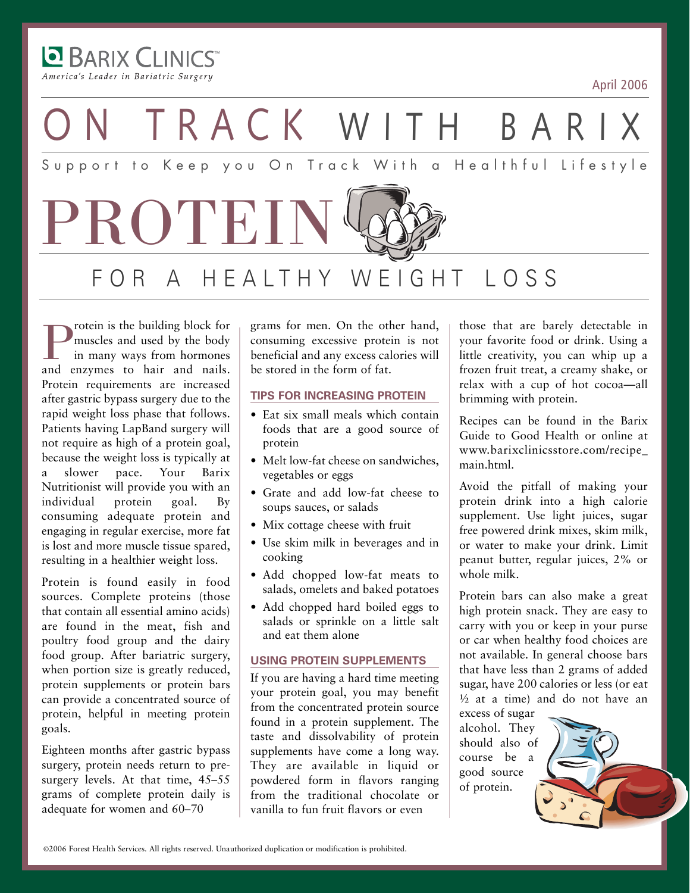America's Leader in Bariatric Surgery

**BARIX CLINICS** 

April 2006



**P**rotein is the building block for<br>in many ways from hormones<br>and enzymes to hair and nails. muscles and used by the body in many ways from hormones Protein requirements are increased after gastric bypass surgery due to the rapid weight loss phase that follows. Patients having LapBand surgery will not require as high of a protein goal, because the weight loss is typically at a slower pace. Your Barix Nutritionist will provide you with an individual protein goal. By consuming adequate protein and engaging in regular exercise, more fat is lost and more muscle tissue spared, resulting in a healthier weight loss.

Protein is found easily in food sources. Complete proteins (those that contain all essential amino acids) are found in the meat, fish and poultry food group and the dairy food group. After bariatric surgery, when portion size is greatly reduced, protein supplements or protein bars can provide a concentrated source of protein, helpful in meeting protein goals.

Eighteen months after gastric bypass surgery, protein needs return to presurgery levels. At that time, 45–55 grams of complete protein daily is adequate for women and 60–70

grams for men. On the other hand, consuming excessive protein is not beneficial and any excess calories will be stored in the form of fat.

### **TIPS FOR INCREASING PROTEIN**

- Eat six small meals which contain foods that are a good source of protein
- Melt low-fat cheese on sandwiches. vegetables or eggs
- Grate and add low-fat cheese to soups sauces, or salads
- Mix cottage cheese with fruit
- Use skim milk in beverages and in cooking
- Add chopped low-fat meats to salads, omelets and baked potatoes
- Add chopped hard boiled eggs to salads or sprinkle on a little salt and eat them alone

### **USING PROTEIN SUPPLEMENTS**

If you are having a hard time meeting your protein goal, you may benefit from the concentrated protein source found in a protein supplement. The taste and dissolvability of protein supplements have come a long way. They are available in liquid or powdered form in flavors ranging from the traditional chocolate or vanilla to fun fruit flavors or even

those that are barely detectable in your favorite food or drink. Using a little creativity, you can whip up a frozen fruit treat, a creamy shake, or relax with a cup of hot cocoa—all brimming with protein.

Recipes can be found in the Barix Guide to Good Health or online at www.barixclinicsstore.com/recipe\_ main.html.

Avoid the pitfall of making your protein drink into a high calorie supplement. Use light juices, sugar free powered drink mixes, skim milk, or water to make your drink. Limit peanut butter, regular juices, 2% or whole milk.

Protein bars can also make a great high protein snack. They are easy to carry with you or keep in your purse or car when healthy food choices are not available. In general choose bars that have less than 2 grams of added sugar, have 200 calories or less (or eat ½ at a time) and do not have an

excess of sugar alcohol. They should also of course be a good source of protein.

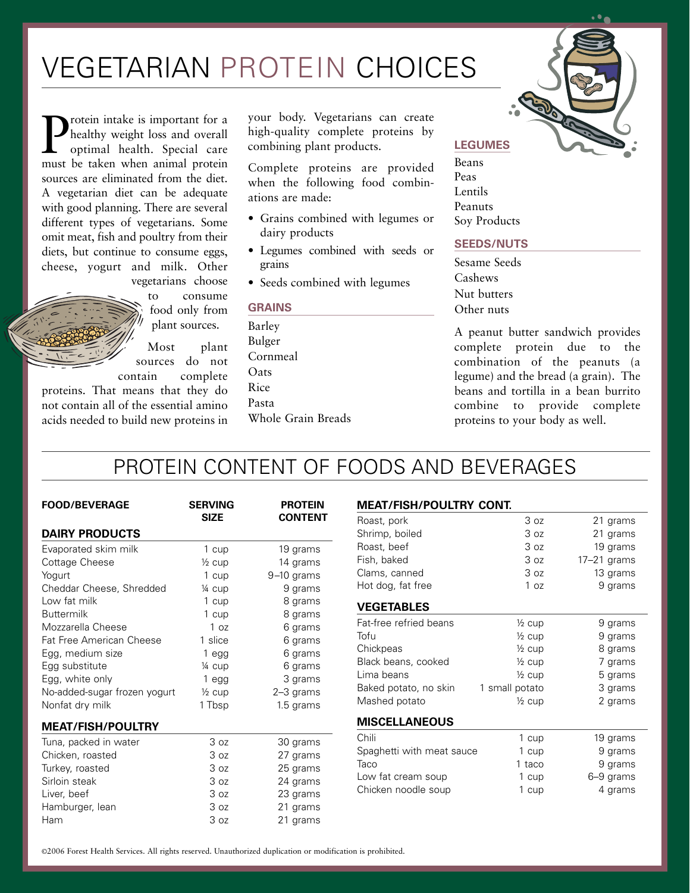## VEGETARIAN PROTEIN CHOICES

**P** healthy weight loss and overall<br>optimal health. Special care<br>must be taken when animal protein healthy weight loss and overall optimal health. Special care must be taken when animal protein sources are eliminated from the diet. A vegetarian diet can be adequate with good planning. There are several different types of vegetarians. Some omit meat, fish and poultry from their diets, but continue to consume eggs, cheese, yogurt and milk. Other vegetarians choose

> to consume food only from plant sources.

Most plant sources do not contain complete

proteins. That means that they do not contain all of the essential amino acids needed to build new proteins in your body. Vegetarians can create high-quality complete proteins by combining plant products.

Complete proteins are provided when the following food combinations are made:

- Grains combined with legumes or dairy products
- Legumes combined with seeds or grains
- Seeds combined with legumes

#### **GRAINS**

Barley Bulger Cornmeal **O**ats Rice Pasta Whole Grain Breads



#### **LEGUMES**

Beans Peas Lentils Peanuts Soy Products

### **SEEDS/NUTS**

Sesame Seeds Cashews Nut butters Other nuts

A peanut butter sandwich provides complete protein due to the combination of the peanuts (a legume) and the bread (a grain). The beans and tortilla in a bean burrito combine to provide complete proteins to your body as well.

### PROTEIN CONTENT OF FOODS AND BEVERAGES

| <b>FOOD/BEVERAGE</b>         | <b>SERVING</b><br><b>SIZE</b> | <b>PROTEIN</b><br><b>CONTENT</b> |
|------------------------------|-------------------------------|----------------------------------|
| <b>DAIRY PRODUCTS</b>        |                               |                                  |
| Evaporated skim milk         | 1 cup                         | 19 grams                         |
| Cottage Cheese               | $\frac{1}{2}$ cup             | 14 grams                         |
| Yogurt                       | 1 cup                         | $9-10$ grams                     |
| Cheddar Cheese, Shredded     | $\frac{1}{4}$ cup             | 9 grams                          |
| Low fat milk                 | 1 cup                         | 8 grams                          |
| <b>Buttermilk</b>            | 1 cup                         | 8 grams                          |
| Mozzarella Cheese            | 1 <sub>oz</sub>               | 6 grams                          |
| Fat Free American Cheese     | 1 slice                       | 6 grams                          |
| Egg, medium size             | 1 egg                         | 6 grams                          |
| Egg substitute               | 1⁄4 cup                       | 6 grams                          |
| Egg, white only              | 1 <sub>egg</sub>              | 3 grams                          |
| No-added-sugar frozen yogurt | $\frac{1}{2}$ cup             | 2-3 grams                        |
| Nonfat dry milk              | 1 Tbsp                        | 1.5 grams                        |
| <b>MEAT/FISH/POULTRY</b>     |                               |                                  |
| Tuna, packed in water        | 3 <sub>oz</sub>               | 30 grams                         |
| Chicken, roasted             | 3 oz                          | 27 grams                         |
| Turkey, roasted              | 3 <sub>oz</sub>               | 25 grams                         |
| Sirloin steak                | 3 <sub>oz</sub>               | 24 grams                         |
| Liver, beef                  | 3 oz                          | 23 grams                         |
| Hamburger, lean              | 3 oz                          | 21 grams                         |
| Ham                          | 3 <sub>oz</sub>               | 21 grams                         |

#### **MEAT/FISH/POULTRY CONT.**

| Roast, pork               | 3 oz              | 21 grams      |
|---------------------------|-------------------|---------------|
| Shrimp, boiled            | 3 oz              | 21 grams      |
| Roast, beef               | 3 oz              | 19 grams      |
| Fish, baked               | 3 oz              | $17-21$ grams |
| Clams, canned             | 3 oz              | 13 grams      |
| Hot dog, fat free         | 1 <sub>oz</sub>   | 9 grams       |
| <b>VEGETABLES</b>         |                   |               |
| Fat-free refried beans    | $\frac{1}{2}$ cup | 9 grams       |
| Tofu                      | $\frac{1}{2}$ cup | 9 grams       |
| Chickpeas                 | $\frac{1}{2}$ cup | 8 grams       |
| Black beans, cooked       | $\frac{1}{2}$ cup | 7 grams       |
| Lima beans                | $\frac{1}{2}$ cup | 5 grams       |
| Baked potato, no skin     | 1 small potato    | 3 grams       |
| Mashed potato             | $\frac{1}{2}$ cup | 2 grams       |
| <b>MISCELLANEOUS</b>      |                   |               |
| Chili                     | 1 cup             | 19 grams      |
| Spaghetti with meat sauce | 1 cup             | 9 grams       |
| Taco                      | 1 taco            | 9 grams       |
| Low fat cream soup        | 1 cup             | 6–9 grams     |
| Chicken noodle soup       | 1 cup             | 4 grams       |
|                           |                   |               |

©2006 Forest Health Services. All rights reserved. Unauthorized duplication or modification is prohibited.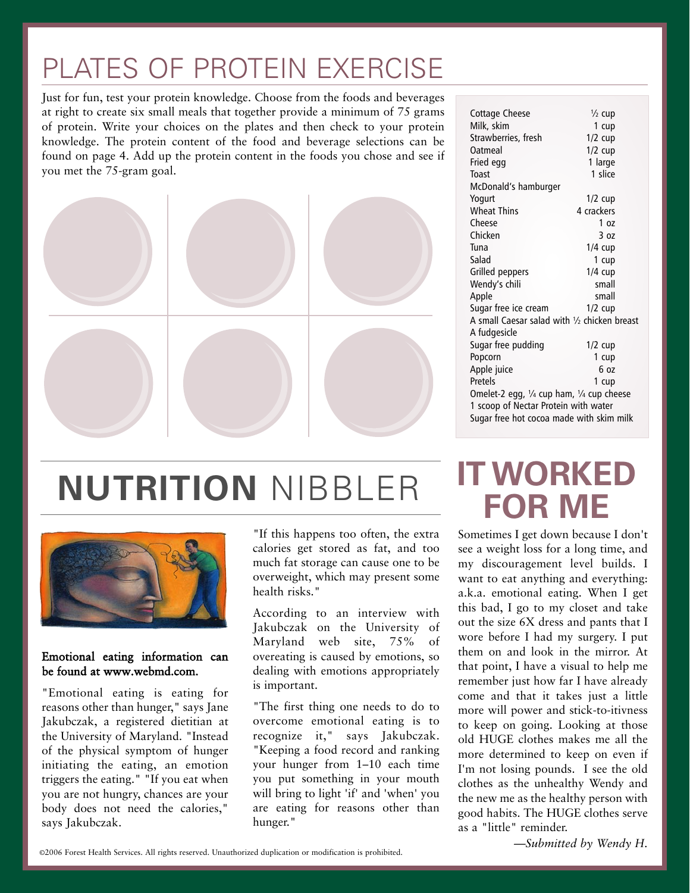## PLATES OF PROTEIN EXERCISE

Just for fun, test your protein knowledge. Choose from the foods and beverages at right to create six small meals that together provide a minimum of 75 grams of protein. Write your choices on the plates and then check to your protein knowledge. The protein content of the food and beverage selections can be found on page 4. Add up the protein content in the foods you chose and see if you met the 75-gram goal.



| Cottage Cheese                                                | $\frac{1}{2}$ cup |  |  |
|---------------------------------------------------------------|-------------------|--|--|
| Milk, skim                                                    | 1 cup             |  |  |
| Strawberries, fresh                                           | $1/2$ cup         |  |  |
| Oatmeal                                                       | $1/2$ cup         |  |  |
| Fried egg                                                     | 1 large           |  |  |
| Toast                                                         | 1 slice           |  |  |
| McDonald's hamburger                                          |                   |  |  |
| Yogurt                                                        | $1/2$ cup         |  |  |
| <b>Wheat Thins</b>                                            | 4 crackers        |  |  |
| Cheese                                                        | 1 <sub>07</sub>   |  |  |
| Chicken                                                       | 3 <sub>oz</sub>   |  |  |
| Tuna                                                          | $1/4$ cup         |  |  |
| Salad                                                         | 1 cup             |  |  |
| Grilled peppers                                               | $1/4$ cup         |  |  |
| Wendy's chili                                                 | small             |  |  |
| Apple                                                         | small             |  |  |
| Sugar free ice cream                                          | $1/2$ cup         |  |  |
| A small Caesar salad with 1/2 chicken breast                  |                   |  |  |
| A fudgesicle                                                  |                   |  |  |
| Sugar free pudding                                            | $1/2$ cup         |  |  |
| Popcorn                                                       | 1 cup             |  |  |
| Apple juice                                                   | 6 oz              |  |  |
| Pretels                                                       | 1 cup             |  |  |
| Omelet-2 egg, $\frac{1}{4}$ cup ham, $\frac{1}{4}$ cup cheese |                   |  |  |
| 1 scoop of Nectar Protein with water                          |                   |  |  |
| Sugar free hot cocoa made with skim milk                      |                   |  |  |
|                                                               |                   |  |  |

# **NUTRITION** NIBBLER



### Emotional eating information can be found at www.webmd.com.

"Emotional eating is eating for reasons other than hunger," says Jane Jakubczak, a registered dietitian at the University of Maryland. "Instead of the physical symptom of hunger initiating the eating, an emotion triggers the eating." "If you eat when you are not hungry, chances are your body does not need the calories," says Jakubczak.

"If this happens too often, the extra calories get stored as fat, and too much fat storage can cause one to be overweight, which may present some health risks."

According to an interview with Jakubczak on the University of Maryland web site, 75% of overeating is caused by emotions, so dealing with emotions appropriately is important.

"The first thing one needs to do to overcome emotional eating is to recognize it," says Jakubczak. "Keeping a food record and ranking your hunger from 1–10 each time you put something in your mouth will bring to light 'if' and 'when' you are eating for reasons other than hunger."

## **IT WORKED FOR ME**

Sometimes I get down because I don't see a weight loss for a long time, and my discouragement level builds. I want to eat anything and everything: a.k.a. emotional eating. When I get this bad, I go to my closet and take out the size 6X dress and pants that I wore before I had my surgery. I put them on and look in the mirror. At that point, I have a visual to help me remember just how far I have already come and that it takes just a little more will power and stick-to-itivness to keep on going. Looking at those old HUGE clothes makes me all the more determined to keep on even if I'm not losing pounds. I see the old clothes as the unhealthy Wendy and the new me as the healthy person with good habits. The HUGE clothes serve as a "little" reminder.

*—Submitted by Wendy H.*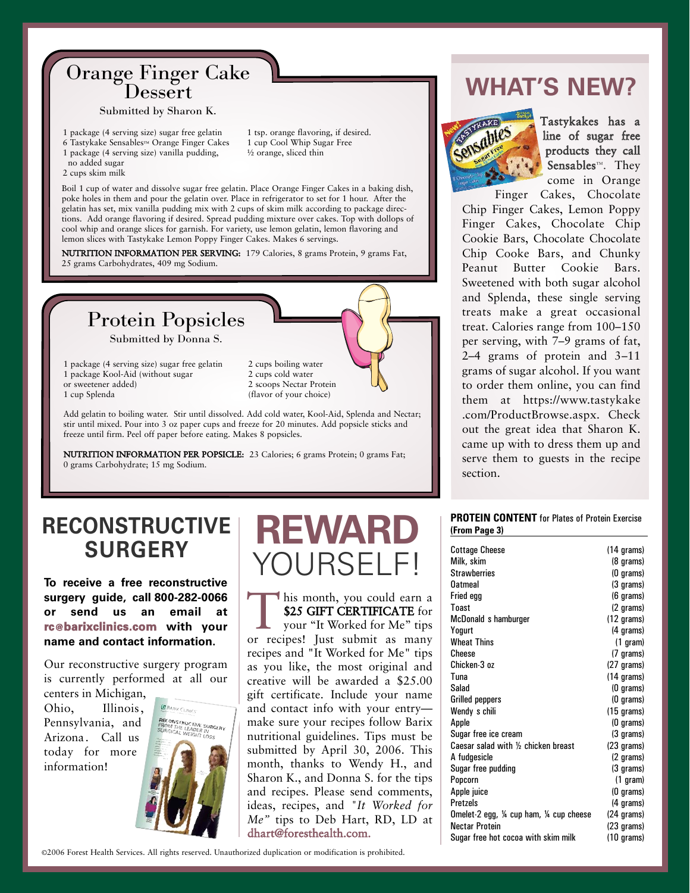# Orange Finger Cake Dessert

#### Submitted by Sharon K.

1 package (4 serving size) sugar free gelatin 6 Tastykake Sensables™ Orange Finger Cakes

- 1 package (4 serving size) vanilla pudding,
- no added sugar
- 2 cups skim milk

½ orange, sliced thin

Boil 1 cup of water and dissolve sugar free gelatin. Place Orange Finger Cakes in a baking dish, poke holes in them and pour the gelatin over. Place in refrigerator to set for 1 hour. After the gelatin has set, mix vanilla pudding mix with 2 cups of skim milk according to package directions. Add orange flavoring if desired. Spread pudding mixture over cakes. Top with dollops of cool whip and orange slices for garnish. For variety, use lemon gelatin, lemon flavoring and lemon slices with Tastykake Lemon Poppy Finger Cakes. Makes 6 servings.

NUTRITION INFORMATION PER SERVING: 179 Calories, 8 grams Protein, 9 grams Fat, 25 grams Carbohydrates, 409 mg Sodium.



1 package (4 serving size) sugar free gelatin 1 package Kool-Aid (without sugar or sweetener added) 1 cup Splenda

2 cups boiling water 2 cups cold water 2 scoops Nectar Protein (flavor of your choice)

Add gelatin to boiling water. Stir until dissolved. Add cold water, Kool-Aid, Splenda and Nectar; stir until mixed. Pour into 3 oz paper cups and freeze for 20 minutes. Add popsicle sticks and freeze until firm. Peel off paper before eating. Makes 8 popsicles.

NUTRITION INFORMATION PER POPSICLE: 23 Calories; 6 grams Protein; 0 grams Fat; 0 grams Carbohydrate; 15 mg Sodium.

### **RECONSTRUCTIVE SURGERY**

**To receive a free reconstructive** surgery guide, call 800-282-0066 **or send us an email at rc@barixclinics.com with your name and contact information.**

Our reconstructive surgery program is currently performed at all our

centers in Michigan, Ohio, Illinois, Pennsylvania, and Arizona. Call us today for more information!



## **REWARD** YOURSELF!

his month, you could earn a<br>\$25 GIFT CERTIFICATE for<br>your "It Worked for Me" tips<br>or recipes! Just submit as many \$25 GIFT CERTIFICATE for your "It Worked for Me" tips or recipes! Just submit as many recipes and "It Worked for Me" tips as you like, the most original and creative will be awarded a \$25.00 gift certificate. Include your name and contact info with your entry make sure your recipes follow Barix nutritional guidelines. Tips must be submitted by April 30, 2006. This month, thanks to Wendy H., and Sharon K., and Donna S. for the tips and recipes. Please send comments, ideas, recipes, and *"It Worked for Me"* tips to Deb Hart, RD, LD at dhart@foresthealth.com.

1 tsp. orange flavoring, if desired. 1 cup Cool Whip Sugar Free

### **WHAT'S NEW?**



Tastykakes has a line of sugar free products they call Sensables™. They come in Orange

Finger Cakes, Chocolate Chip Finger Cakes, Lemon Poppy Finger Cakes, Chocolate Chip Cookie Bars, Chocolate Chocolate Chip Cooke Bars, and Chunky Peanut Butter Cookie Bars. Sweetened with both sugar alcohol and Splenda, these single serving treats make a great occasional treat. Calories range from 100–150 per serving, with 7–9 grams of fat, 2–4 grams of protein and 3–11 grams of sugar alcohol. If you want to order them online, you can find them at https://www.tastykake .com/ProductBrowse.aspx. Check out the great idea that Sharon K. came up with to dress them up and serve them to guests in the recipe section.

#### **PROTEIN CONTENT** for Plates of Protein Exercise **(From Page 3)**

| <b>Cottage Cheese</b>                 | $(14 \text{ grams})$ |
|---------------------------------------|----------------------|
| Milk, skim                            | (8 grams)            |
| <b>Strawberries</b>                   | (0 grams)            |
| <b>Oatmeal</b>                        | (3 grams)            |
| Fried egg                             | (6 grams)            |
| Toast                                 | (2 grams)            |
| McDonald s hamburger                  | $(12 \text{ grams})$ |
| Yogurt                                | (4 grams)            |
| <b>Wheat Thins</b>                    | $(1)$ gram)          |
| Cheese                                | (7 grams)            |
| Chicken-3 oz                          | (27 grams)           |
| Tuna                                  | $(14 \text{ grams})$ |
| Salad                                 | (0 grams)            |
| <b>Grilled peppers</b>                | (0 grams)            |
| Wendy s chili                         | $(15 \text{ grams})$ |
| Apple                                 | (0 grams)            |
| Sugar free ice cream                  | (3 grams)            |
| Caesar salad with 1/2 chicken breast  | (23 grams)           |
| A fudgesicle                          | (2 grams)            |
| Sugar free pudding                    | (3 grams)            |
| Popcorn                               | $(1)$ gram)          |
| Apple juice                           | (0 grams)            |
| <b>Pretzels</b>                       | (4 grams)            |
| Omelet-2 egg, ¼ cup ham, ¼ cup cheese | (24 grams)           |
| <b>Nectar Protein</b>                 | $(23 \text{ grams})$ |
| Sugar free hot cocoa with skim milk   | $(10 \text{ grams})$ |

©2006 Forest Health Services. All rights reserved. Unauthorized duplication or modification is prohibited.